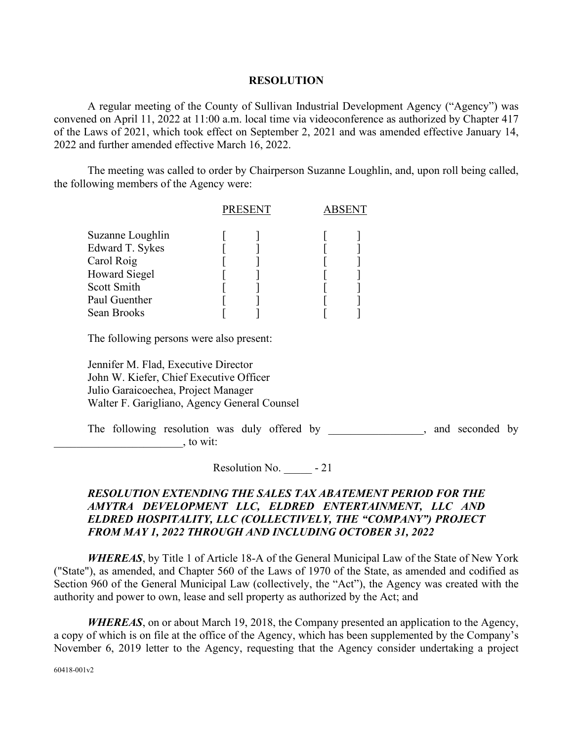## **RESOLUTION**

A regular meeting of the County of Sullivan Industrial Development Agency ("Agency") was convened on April 11, 2022 at 11:00 a.m. local time via videoconference as authorized by Chapter 417 of the Laws of 2021, which took effect on September 2, 2021 and was amended effective January 14, 2022 and further amended effective March 16, 2022.

The meeting was called to order by Chairperson Suzanne Loughlin, and, upon roll being called, the following members of the Agency were:

|                  | <b>PRESENT</b> |  | <b>ABSENT</b> |  |
|------------------|----------------|--|---------------|--|
| Suzanne Loughlin |                |  |               |  |
| Edward T. Sykes  |                |  |               |  |
| Carol Roig       |                |  |               |  |
| Howard Siegel    |                |  |               |  |
| Scott Smith      |                |  |               |  |
| Paul Guenther    |                |  |               |  |
| Sean Brooks      |                |  |               |  |

The following persons were also present:

Jennifer M. Flad, Executive Director John W. Kiefer, Chief Executive Officer Julio Garaicoechea, Project Manager Walter F. Garigliano, Agency General Counsel

The following resolution was duly offered by example and seconded by example and seconded by  $\gamma$ , to wit:

Resolution No.  $-21$ 

## *RESOLUTION EXTENDING THE SALES TAX ABATEMENT PERIOD FOR THE AMYTRA DEVELOPMENT LLC, ELDRED ENTERTAINMENT, LLC AND ELDRED HOSPITALITY, LLC (COLLECTIVELY, THE "COMPANY") PROJECT FROM MAY 1, 2022 THROUGH AND INCLUDING OCTOBER 31, 2022*

*WHEREAS*, by Title 1 of Article 18-A of the General Municipal Law of the State of New York ("State"), as amended, and Chapter 560 of the Laws of 1970 of the State, as amended and codified as Section 960 of the General Municipal Law (collectively, the "Act"), the Agency was created with the authority and power to own, lease and sell property as authorized by the Act; and

*WHEREAS*, on or about March 19, 2018, the Company presented an application to the Agency, a copy of which is on file at the office of the Agency, which has been supplemented by the Company's November 6, 2019 letter to the Agency, requesting that the Agency consider undertaking a project

60418-001v2